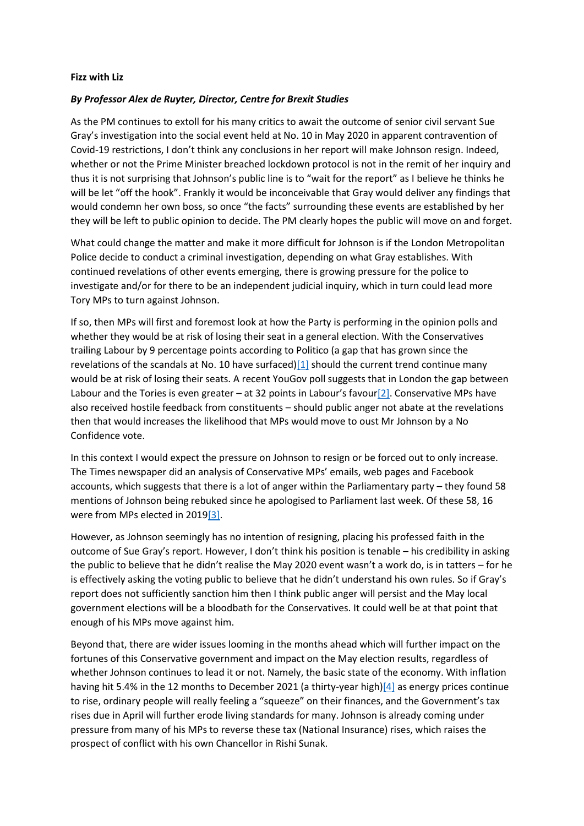## **Fizz with Liz**

## *By Professor Alex de Ruyter, Director, Centre for Brexit Studies*

As the PM continues to extoll for his many critics to await the outcome of senior civil servant Sue Gray's investigation into the social event held at No. 10 in May 2020 in apparent contravention of Covid-19 restrictions, I don't think any conclusions in her report will make Johnson resign. Indeed, whether or not the Prime Minister breached lockdown protocol is not in the remit of her inquiry and thus it is not surprising that Johnson's public line is to "wait for the report" as I believe he thinks he will be let "off the hook". Frankly it would be inconceivable that Gray would deliver any findings that would condemn her own boss, so once "the facts" surrounding these events are established by her they will be left to public opinion to decide. The PM clearly hopes the public will move on and forget.

What could change the matter and make it more difficult for Johnson is if the London Metropolitan Police decide to conduct a criminal investigation, depending on what Gray establishes. With continued revelations of other events emerging, there is growing pressure for the police to investigate and/or for there to be an independent judicial inquiry, which in turn could lead more Tory MPs to turn against Johnson.

If so, then MPs will first and foremost look at how the Party is performing in the opinion polls and whether they would be at risk of losing their seat in a general election. With the Conservatives trailing Labour by 9 percentage points according to Politico (a gap that has grown since the revelations of the scandals at No. 10 have surfaced[\)\[1\]](https://centreforbrexitstudiesblog.wordpress.com/2022/01/22/fizz-with-liz/#_ftn1) should the current trend continue many would be at risk of losing their seats. A recent YouGov poll suggests that in London the gap between Labour and the Tories is even greater – at 32 points in Labour's favour  $[2]$ . Conservative MPs have also received hostile feedback from constituents – should public anger not abate at the revelations then that would increases the likelihood that MPs would move to oust Mr Johnson by a No Confidence vote.

In this context I would expect the pressure on Johnson to resign or be forced out to only increase. The Times newspaper did an analysis of Conservative MPs' emails, web pages and Facebook accounts, which suggests that there is a lot of anger within the Parliamentary party – they found 58 mentions of Johnson being rebuked since he apologised to Parliament last week. Of these 58, 16 were from MPs elected in 201[9\[3\].](https://centreforbrexitstudiesblog.wordpress.com/2022/01/22/fizz-with-liz/#_ftn3)

However, as Johnson seemingly has no intention of resigning, placing his professed faith in the outcome of Sue Gray's report. However, I don't think his position is tenable – his credibility in asking the public to believe that he didn't realise the May 2020 event wasn't a work do, is in tatters – for he is effectively asking the voting public to believe that he didn't understand his own rules. So if Gray's report does not sufficiently sanction him then I think public anger will persist and the May local government elections will be a bloodbath for the Conservatives. It could well be at that point that enough of his MPs move against him.

Beyond that, there are wider issues looming in the months ahead which will further impact on the fortunes of this Conservative government and impact on the May election results, regardless of whether Johnson continues to lead it or not. Namely, the basic state of the economy. With inflation having hit 5.4% in the 12 months to December 2021 (a thirty-year high[\)\[4\]](https://centreforbrexitstudiesblog.wordpress.com/2022/01/22/fizz-with-liz/#_ftn4) as energy prices continue to rise, ordinary people will really feeling a "squeeze" on their finances, and the Government's tax rises due in April will further erode living standards for many. Johnson is already coming under pressure from many of his MPs to reverse these tax (National Insurance) rises, which raises the prospect of conflict with his own Chancellor in Rishi Sunak.